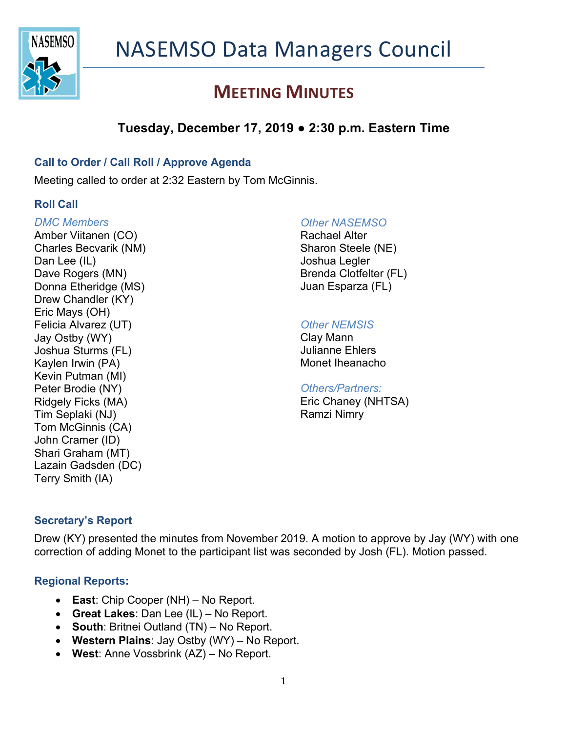

# **MEETING MINUTES**

# **Tuesday, December 17, 2019 ● 2:30 p.m. Eastern Time**

### **Call to Order / Call Roll / Approve Agenda**

Meeting called to order at 2:32 Eastern by Tom McGinnis.

### **Roll Call**

#### *DMC Members*

Amber Viitanen (CO) Charles Becvarik (NM) Dan Lee (IL) Dave Rogers (MN) Donna Etheridge (MS) Drew Chandler (KY) Eric Mays (OH) Felicia Alvarez (UT) Jay Ostby (WY) Joshua Sturms (FL) Kaylen Irwin (PA) Kevin Putman (MI) Peter Brodie (NY) Ridgely Ficks (MA) Tim Seplaki (NJ) Tom McGinnis (CA) John Cramer (ID) Shari Graham (MT) Lazain Gadsden (DC) Terry Smith (IA)

#### *Other NASEMSO*

Rachael Alter Sharon Steele (NE) Joshua Legler Brenda Clotfelter (FL) Juan Esparza (FL)

### *Other NEMSIS*

Clay Mann Julianne Ehlers Monet Iheanacho

#### *Others/Partners:*

Eric Chaney (NHTSA) Ramzi Nimry

### **Secretary's Report**

Drew (KY) presented the minutes from November 2019. A motion to approve by Jay (WY) with one correction of adding Monet to the participant list was seconded by Josh (FL). Motion passed.

### **Regional Reports:**

- **East**: Chip Cooper (NH) No Report.
- **Great Lakes**: Dan Lee (IL) No Report.
- **South**: Britnei Outland (TN) No Report.
- **Western Plains**: Jay Ostby (WY) No Report.
- **West**: Anne Vossbrink (AZ) No Report.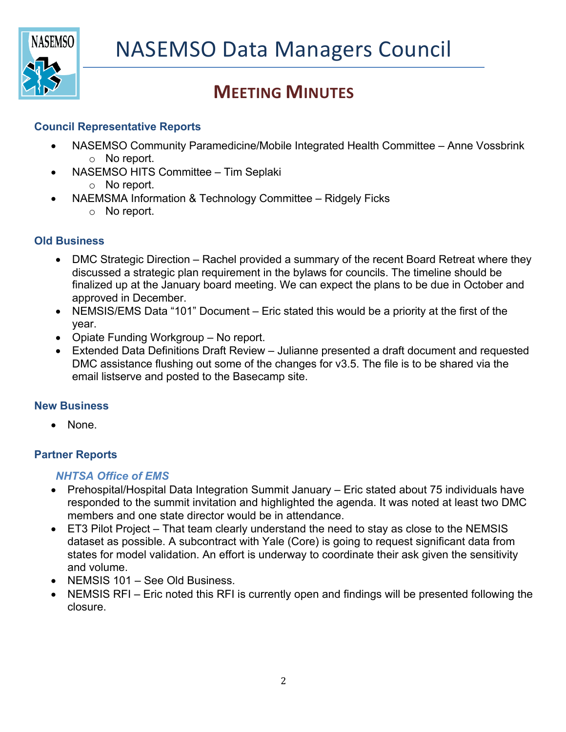

# **MEETING MINUTES**

### **Council Representative Reports**

- NASEMSO Community Paramedicine/Mobile Integrated Health Committee Anne Vossbrink o No report.
- NASEMSO HITS Committee Tim Seplaki
	- o No report.
- NAEMSMA Information & Technology Committee Ridgely Ficks
	- o No report.

### **Old Business**

- DMC Strategic Direction Rachel provided a summary of the recent Board Retreat where they discussed a strategic plan requirement in the bylaws for councils. The timeline should be finalized up at the January board meeting. We can expect the plans to be due in October and approved in December.
- NEMSIS/EMS Data "101" Document Eric stated this would be a priority at the first of the year.
- Opiate Funding Workgroup No report.
- Extended Data Definitions Draft Review Julianne presented a draft document and requested DMC assistance flushing out some of the changes for v3.5. The file is to be shared via the email listserve and posted to the Basecamp site.

### **New Business**

• None.

## **Partner Reports**

### *NHTSA Office of EMS*

- Prehospital/Hospital Data Integration Summit January Eric stated about 75 individuals have responded to the summit invitation and highlighted the agenda. It was noted at least two DMC members and one state director would be in attendance.
- ET3 Pilot Project That team clearly understand the need to stay as close to the NEMSIS dataset as possible. A subcontract with Yale (Core) is going to request significant data from states for model validation. An effort is underway to coordinate their ask given the sensitivity and volume.
- NEMSIS 101 See Old Business.
- NEMSIS RFI Eric noted this RFI is currently open and findings will be presented following the closure.